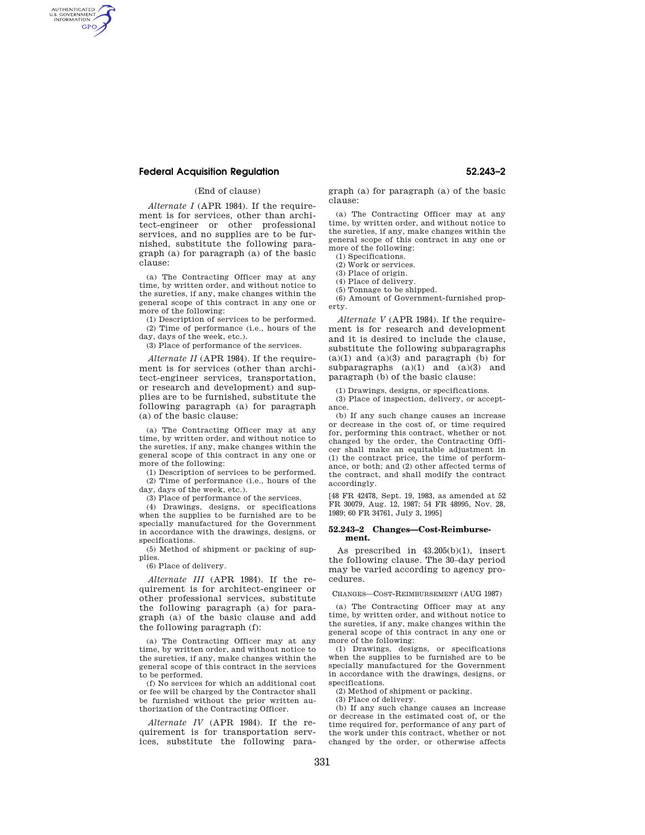# **Federal Acquisition Regulation 52.243–2**

AUTHENTICATED<br>U.S. GOVERNMENT<br>INFORMATION **GPO** 

## (End of clause)

*Alternate I* (APR 1984). If the requirement is for services, other than architect-engineer or other professional services, and no supplies are to be furnished, substitute the following paragraph (a) for paragraph (a) of the basic clause:

(a) The Contracting Officer may at any time, by written order, and without notice to the sureties, if any, make changes within the general scope of this contract in any one or more of the following:

(1) Description of services to be performed. (2) Time of performance (i.e., hours of the day, days of the week, etc.).

(3) Place of performance of the services.

*Alternate II* (APR 1984). If the requirement is for services (other than architect-engineer services, transportation, or research and development) and supplies are to be furnished, substitute the following paragraph (a) for paragraph (a) of the basic clause:

(a) The Contracting Officer may at any time, by written order, and without notice to the sureties, if any, make changes within the general scope of this contract in any one or more of the following:

(1) Description of services to be performed. (2) Time of performance (i.e., hours of the day, days of the week, etc.).

(3) Place of performance of the services.

(4) Drawings, designs, or specifications when the supplies to be furnished are to be specially manufactured for the Government in accordance with the drawings, designs, or specifications.

(5) Method of shipment or packing of supplies.

(6) Place of delivery.

*Alternate III* (APR 1984). If the requirement is for architect-engineer or other professional services, substitute the following paragraph (a) for paragraph (a) of the basic clause and add the following paragraph (f):

(a) The Contracting Officer may at any time, by written order, and without notice to the sureties, if any, make changes within the general scope of this contract in the services to be performed.

(f) No services for which an additional cost or fee will be charged by the Contractor shall be furnished without the prior written authorization of the Contracting Officer.

*Alternate IV* (APR 1984). If the requirement is for transportation services, substitute the following paragraph (a) for paragraph (a) of the basic clause:

(a) The Contracting Officer may at any time, by written order, and without notice to the sureties, if any, make changes within the general scope of this contract in any one or more of the following:

(1) Specifications.

(2) Work or services. (3) Place of origin.

(4) Place of delivery.

(5) Tonnage to be shipped.

(6) Amount of Government-furnished property.

*Alternate V* (APR 1984). If the requirement is for research and development and it is desired to include the clause, substitute the following subparagraphs  $(a)(1)$  and  $(a)(3)$  and paragraph (b) for subparagraphs  $(a)(1)$  and  $(a)(3)$  and paragraph (b) of the basic clause:

(1) Drawings, designs, or specifications.

(3) Place of inspection, delivery, or acceptance.

(b) If any such change causes an increase or decrease in the cost of, or time required for, performing this contract, whether or not changed by the order, the Contracting Officer shall make an equitable adjustment in (1) the contract price, the time of performance, or both; and (2) other affected terms of the contract, and shall modify the contract accordingly.

[48 FR 42478, Sept. 19, 1983, as amended at 52 FR 30079, Aug. 12, 1987; 54 FR 48995, Nov. 28, 1989; 60 FR 34761, July 3, 1995]

#### **52.243–2 Changes—Cost-Reimbursement.**

As prescribed in 43.205(b)(1), insert the following clause. The 30–day period may be varied according to agency procedures.

CHANGES—COST-REIMBURSEMENT (AUG 1987)

(a) The Contracting Officer may at any time, by written order, and without notice to the sureties, if any, make changes within the general scope of this contract in any one or more of the following:

(1) Drawings, designs, or specifications when the supplies to be furnished are to be specially manufactured for the Government in accordance with the drawings, designs, or specifications.

(2) Method of shipment or packing.

(3) Place of delivery.

(b) If any such change causes an increase or decrease in the estimated cost of, or the time required for, performance of any part of the work under this contract, whether or not changed by the order, or otherwise affects